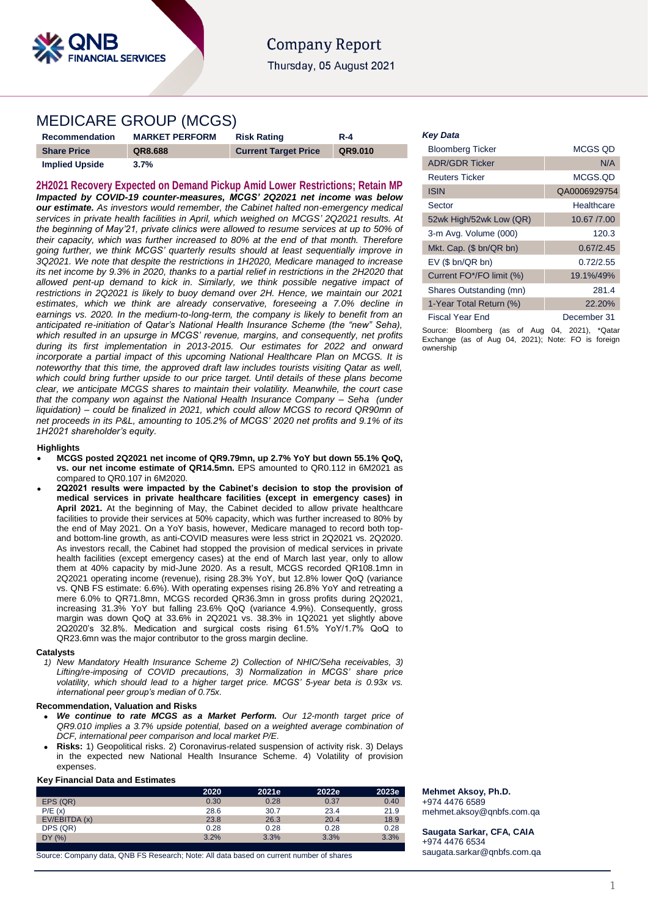

# **Company Report** Thursday, 05 August 2021

# MEDICARE GROUP (MCGS)

| Recommendation        | <b>MARKET PERFORM</b> | <b>Risk Rating</b>          | <b>R-4</b> |
|-----------------------|-----------------------|-----------------------------|------------|
| <b>Share Price</b>    | QR8.688               | <b>Current Target Price</b> | QR9.010    |
| <b>Implied Upside</b> | 3.7%                  |                             |            |

**2H2021 Recovery Expected on Demand Pickup Amid Lower Restrictions; Retain MP** *Impacted by COVID-19 counter-measures, MCGS' 2Q2021 net income was below our estimate. As investors would remember, the Cabinet halted non-emergency medical services in private health facilities in April, which weighed on MCGS' 2Q2021 results. At the beginning of May'21, private clinics were allowed to resume services at up to 50% of their capacity, which was further increased to 80% at the end of that month. Therefore going further, we think MCGS' quarterly results should at least sequentially improve in 3Q2021. We note that despite the restrictions in 1H2020, Medicare managed to increase its net income by 9.3% in 2020, thanks to a partial relief in restrictions in the 2H2020 that allowed pent-up demand to kick in. Similarly, we think possible negative impact of restrictions in 2Q2021 is likely to buoy demand over 2H. Hence, we maintain our 2021 estimates, which we think are already conservative, foreseeing a 7.0% decline in earnings vs. 2020. In the medium-to-long-term, the company is likely to benefit from an anticipated re-initiation of Qatar's National Health Insurance Scheme (the "new" Seha), which resulted in an upsurge in MCGS' revenue, margins, and consequently, net profits during its first implementation in 2013-2015. Our estimates for 2022 and onward incorporate a partial impact of this upcoming National Healthcare Plan on MCGS. It is noteworthy that this time, the approved draft law includes tourists visiting Qatar as well,*  which could bring further upside to our price target. Until details of these plans become *clear, we anticipate MCGS shares to maintain their volatility. Meanwhile, the court case that the company won against the National Health Insurance Company – Seha (under liquidation) – could be finalized in 2021, which could allow MCGS to record QR90mn of net proceeds in its P&L, amounting to 105.2% of MCGS' 2020 net profits and 9.1% of its 1H2021 shareholder's equity.*

### **Highlights**

- **MCGS posted 2Q2021 net income of QR9.79mn, up 2.7% YoY but down 55.1% QoQ, vs. our net income estimate of QR14.5mn.** EPS amounted to QR0.112 in 6M2021 as compared to QR0.107 in 6M2020.
- **2Q2021 results were impacted by the Cabinet's decision to stop the provision of medical services in private healthcare facilities (except in emergency cases) in April 2021.** At the beginning of May, the Cabinet decided to allow private healthcare facilities to provide their services at 50% capacity, which was further increased to 80% by the end of May 2021. On a YoY basis, however, Medicare managed to record both topand bottom-line growth, as anti-COVID measures were less strict in 2Q2021 vs. 2Q2020. As investors recall, the Cabinet had stopped the provision of medical services in private health facilities (except emergency cases) at the end of March last year, only to allow them at 40% capacity by mid-June 2020. As a result, MCGS recorded QR108.1mn in 2Q2021 operating income (revenue), rising 28.3% YoY, but 12.8% lower QoQ (variance vs. QNB FS estimate: 6.6%). With operating expenses rising 26.8% YoY and retreating a mere 6.0% to QR71.8mn, MCGS recorded QR36.3mn in gross profits during 2Q2021, increasing 31.3% YoY but falling 23.6% QoQ (variance 4.9%). Consequently, gross margin was down QoQ at 33.6% in 2Q2021 vs. 38.3% in 1Q2021 yet slightly above 2Q2020's 32.8%. Medication and surgical costs rising 61.5% YoY/1.7% QoQ to QR23.6mn was the major contributor to the gross margin decline.

#### **Catalysts**

*1) New Mandatory Health Insurance Scheme 2) Collection of NHIC/Seha receivables, 3) Lifting/re-imposing of COVID precautions, 3) Normalization in MCGS' share price volatility, which should lead to a higher target price. MCGS' 5-year beta is 0.93x vs. international peer group's median of 0.75x.* 

# **Recommendation, Valuation and Risks**

- *We continue to rate MCGS as a Market Perform. Our 12-month target price of QR9.010 implies a 3.7% upside potential, based on a weighted average combination of DCF, international peer comparison and local market P/E.*
- **Risks:** 1) Geopolitical risks. 2) Coronavirus-related suspension of activity risk. 3) Delays in the expected new National Health Insurance Scheme. 4) Volatility of provision expenses.

### **Key Financial Data and Estimates**

|               | 2020 | 2021e | 2022e | 2023e |
|---------------|------|-------|-------|-------|
| EPS (QR)      | 0.30 | 0.28  | 0.37  | 0.40  |
| P/E(x)        | 28.6 | 30.7  | 23.4  | 21.9  |
| EV/EBITDA (x) | 23.8 | 26.3  | 20.4  | 18.9  |
| DPS (QR)      | 0.28 | 0.28  | 0.28  | 0.28  |
| DY(%)         | 3.2% | 3.3%  | 3.3%  | 3.3%  |

Source: Company data, QNB FS Research; Note: All data based on current number of shares

#### *Key Data*

| <b>Bloomberg Ticker</b>  | MCGS OD      |
|--------------------------|--------------|
| <b>ADR/GDR Ticker</b>    | N/A          |
| Reuters Ticker           | MCGS.OD      |
| <b>ISIN</b>              | QA0006929754 |
| Sector                   | Healthcare   |
| 52wk High/52wk Low (QR)  | 10.67 /7.00  |
| 3-m Avg. Volume (000)    | 120.3        |
| Mkt. Cap. (\$ bn/QR bn)  | 0.67/2.45    |
| $EV$ (\$ bn/QR bn)       | 0.72/2.55    |
| Current FO*/FO limit (%) | 19.1%/49%    |
| Shares Outstanding (mn)  | 281.4        |
| 1-Year Total Return (%)  | 22.20%       |
| Fiscal Year End          | December 31  |

Source: Bloomberg (as of Aug 04, 2021), \*Qatar Exchange (as of Aug 04, 2021); Note: FO is foreign ownership

**Mehmet Aksoy, Ph.D.** +974 4476 6589 mehmet.aksoy@qnbfs.com.qa

**Saugata Sarkar, CFA, CAIA** +974 4476 6534 [saugata.sarkar@qnbfs.com.qa](mailto:saugata.sarkar@qnbfs.com.qa)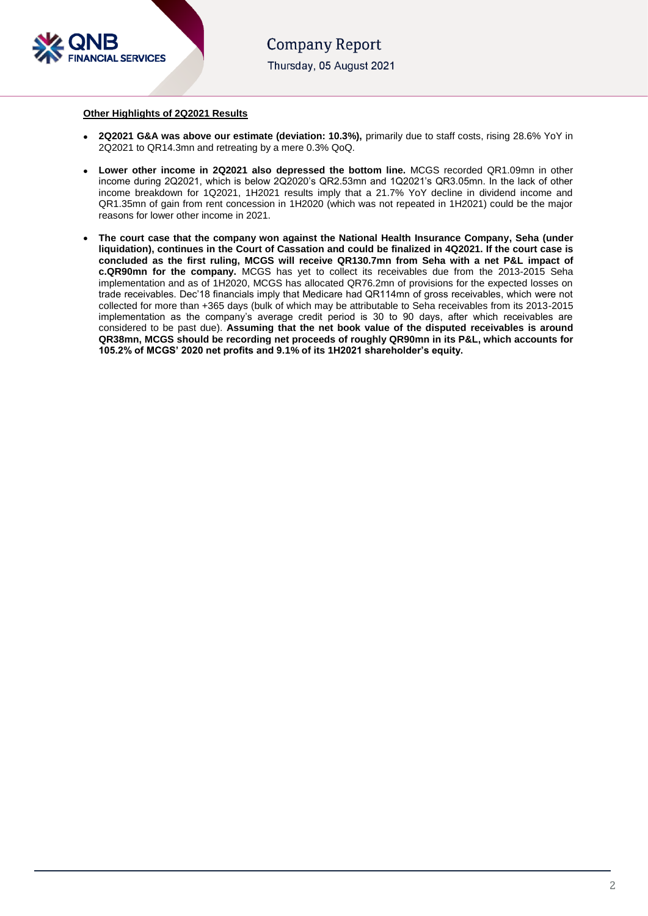

# **Other Highlights of 2Q2021 Results**

- **2Q2021 G&A was above our estimate (deviation: 10.3%),** primarily due to staff costs, rising 28.6% YoY in 2Q2021 to QR14.3mn and retreating by a mere 0.3% QoQ.
- **Lower other income in 2Q2021 also depressed the bottom line.** MCGS recorded QR1.09mn in other income during 2Q2021, which is below 2Q2020's QR2.53mn and 1Q2021's QR3.05mn. In the lack of other income breakdown for 1Q2021, 1H2021 results imply that a 21.7% YoY decline in dividend income and QR1.35mn of gain from rent concession in 1H2020 (which was not repeated in 1H2021) could be the major reasons for lower other income in 2021.
- **The court case that the company won against the National Health Insurance Company, Seha (under liquidation), continues in the Court of Cassation and could be finalized in 4Q2021. If the court case is concluded as the first ruling, MCGS will receive QR130.7mn from Seha with a net P&L impact of c.QR90mn for the company.** MCGS has yet to collect its receivables due from the 2013-2015 Seha implementation and as of 1H2020, MCGS has allocated QR76.2mn of provisions for the expected losses on trade receivables. Dec'18 financials imply that Medicare had QR114mn of gross receivables, which were not collected for more than +365 days (bulk of which may be attributable to Seha receivables from its 2013-2015 implementation as the company's average credit period is 30 to 90 days, after which receivables are considered to be past due). **Assuming that the net book value of the disputed receivables is around QR38mn, MCGS should be recording net proceeds of roughly QR90mn in its P&L, which accounts for 105.2% of MCGS' 2020 net profits and 9.1% of its 1H2021 shareholder's equity.**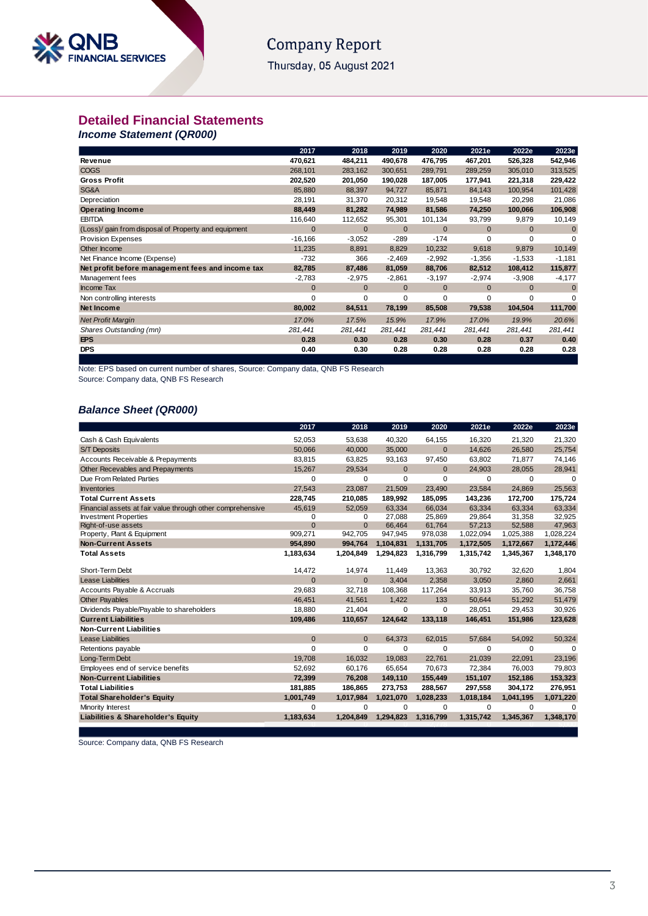# **Company Report**

Thursday, 05 August 2021

# **Detailed Financial Statements**

*Income Statement (QR000)*

|                                                      | 2017         | 2018         | 2019         | 2020         | 2021e        | 2022e        | 2023e       |
|------------------------------------------------------|--------------|--------------|--------------|--------------|--------------|--------------|-------------|
| <b>Revenue</b>                                       | 470,621      | 484,211      | 490,678      | 476,795      | 467,201      | 526,328      | 542,946     |
| <b>COGS</b>                                          | 268,101      | 283,162      | 300,651      | 289,791      | 289,259      | 305,010      | 313,525     |
| <b>Gross Profit</b>                                  | 202,520      | 201,050      | 190,028      | 187,005      | 177,941      | 221,318      | 229,422     |
| SG&A                                                 | 85,880       | 88,397       | 94,727       | 85,871       | 84,143       | 100,954      | 101,428     |
| Depreciation                                         | 28,191       | 31,370       | 20,312       | 19,548       | 19,548       | 20,298       | 21,086      |
| <b>Operating Income</b>                              | 88,449       | 81,282       | 74,989       | 81,586       | 74,250       | 100,066      | 106,908     |
| <b>EBITDA</b>                                        | 116,640      | 112,652      | 95,301       | 101,134      | 93,799       | 9,879        | 10,149      |
| (Loss)/ gain from disposal of Property and equipment | $\mathbf{0}$ | $\mathbf{0}$ | $\mathbf{0}$ | $\mathbf{0}$ | $\mathbf{0}$ | $\mathbf{0}$ | 0           |
| Provision Expenses                                   | $-16,166$    | $-3,052$     | $-289$       | $-174$       | $\Omega$     | $\Omega$     | 0           |
| Other Income                                         | 11,235       | 8,891        | 8,829        | 10,232       | 9,618        | 9,879        | 10,149      |
| Net Finance Income (Expense)                         | $-732$       | 366          | -2,469       | $-2,992$     | $-1,356$     | $-1,533$     | $-1,181$    |
| Net profit before management fees and income tax     | 82,785       | 87,486       | 81,059       | 88,706       | 82,512       | 108,412      | 115,877     |
| Management fees                                      | $-2,783$     | $-2,975$     | $-2,861$     | $-3,197$     | $-2,974$     | $-3,908$     | $-4,177$    |
| <b>Income Tax</b>                                    | $\mathbf{0}$ | $\mathbf{0}$ | $\mathbf{0}$ | $\mathbf{0}$ | $\mathbf{0}$ | $\mathbf{0}$ | $\mathbf 0$ |
| Non controlling interests                            | $\Omega$     | $\Omega$     | 0            | $\Omega$     | 0            | $\Omega$     | $\Omega$    |
| Net Income                                           | 80,002       | 84,511       | 78,199       | 85,508       | 79,538       | 104,504      | 111,700     |
| <b>Net Profit Margin</b>                             | 17.0%        | 17.5%        | 15.9%        | 17.9%        | 17.0%        | 19.9%        | 20.6%       |
| Shares Outstanding (mn)                              | 281,441      | 281,441      | 281,441      | 281,441      | 281,441      | 281,441      | 281,441     |
| <b>EPS</b>                                           | 0.28         | 0.30         | 0.28         | 0.30         | 0.28         | 0.37         | 0.40        |
| <b>DPS</b>                                           | 0.40         | 0.30         | 0.28         | 0.28         | 0.28         | 0.28         | 0.28        |

Note: EPS based on current number of shares, Source: Company data, QNB FS Research

Source: Company data, QNB FS Research

# *Balance Sheet (QR000)*

|                                                            | 2017         | 2018           | 2019         | 2020         | 2021e     | 2022e     | 2023e     |
|------------------------------------------------------------|--------------|----------------|--------------|--------------|-----------|-----------|-----------|
| Cash & Cash Equivalents                                    | 52.053       | 53.638         | 40.320       | 64,155       | 16.320    | 21.320    | 21,320    |
| <b>S/T Deposits</b>                                        | 50.066       | 40.000         | 35.000       | $\Omega$     | 14.626    | 26.580    | 25,754    |
| Accounts Receivable & Prepayments                          | 83.815       | 63,825         | 93,163       | 97,450       | 63.802    | 71,877    | 74,146    |
| Other Recevables and Prepayments                           | 15,267       | 29,534         | $\mathbf{0}$ | $\mathbf{0}$ | 24,903    | 28,055    | 28,941    |
| Due From Related Parties                                   | $\mathbf 0$  | 0              | $\mathbf 0$  | $\Omega$     | $\Omega$  | 0         | 0         |
| <b>Inventories</b>                                         | 27,543       | 23.087         | 21,509       | 23.490       | 23,584    | 24.869    | 25,563    |
| <b>Total Current Assets</b>                                | 228,745      | 210,085        | 189,992      | 185,095      | 143,236   | 172,700   | 175,724   |
| Financial assets at fair value through other comprehensive | 45,619       | 52,059         | 63.334       | 66.034       | 63.334    | 63.334    | 63,334    |
| <b>Investment Properties</b>                               | $\Omega$     | $\Omega$       | 27,088       | 25,869       | 29,864    | 31,358    | 32,925    |
| Right-of-use assets                                        | $\mathbf{0}$ | $\overline{0}$ | 66,464       | 61,764       | 57,213    | 52,588    | 47,963    |
| Property, Plant & Equipment                                | 909,271      | 942,705        | 947,945      | 978,038      | 1,022,094 | 1,025,388 | 1,028,224 |
| <b>Non-Current Assets</b>                                  | 954,890      | 994,764        | 1,104,831    | 1,131,705    | 1,172,505 | 1,172,667 | 1,172,446 |
| <b>Total Assets</b>                                        | 1,183,634    | 1,204,849      | 1,294,823    | 1,316,799    | 1,315,742 | 1,345,367 | 1,348,170 |
| Short-Term Debt                                            | 14,472       | 14,974         | 11,449       | 13,363       | 30,792    | 32,620    | 1,804     |
| <b>Lease Liabilities</b>                                   | $\mathbf{0}$ | $\Omega$       | 3.404        | 2,358        | 3,050     | 2,860     | 2,661     |
| Accounts Payable & Accruals                                | 29,683       | 32.718         | 108,368      | 117,264      | 33,913    | 35,760    | 36,758    |
| <b>Other Payables</b>                                      | 46,451       | 41,561         | 1,422        | 133          | 50,644    | 51,292    | 51,479    |
| Dividends Payable/Payable to shareholders                  | 18,880       | 21,404         | $\mathbf 0$  | $\mathbf 0$  | 28,051    | 29,453    | 30,926    |
| <b>Current Liabilities</b>                                 | 109,486      | 110,657        | 124,642      | 133,118      | 146,451   | 151,986   | 123,628   |
| <b>Non-Current Liabilities</b>                             |              |                |              |              |           |           |           |
| <b>Lease Liabilities</b>                                   | $\Omega$     | $\Omega$       | 64,373       | 62,015       | 57,684    | 54,092    | 50,324    |
| Retentions payable                                         | $\Omega$     | 0              | $\Omega$     | $\Omega$     | $\Omega$  | $\Omega$  | $\Omega$  |
| Long-Term Debt                                             | 19,708       | 16,032         | 19,083       | 22,761       | 21,039    | 22,091    | 23,196    |
| Employees end of service benefits                          | 52,692       | 60,176         | 65,654       | 70,673       | 72,384    | 76,003    | 79,803    |
| <b>Non-Current Liabilities</b>                             | 72,399       | 76,208         | 149,110      | 155,449      | 151,107   | 152,186   | 153,323   |
| <b>Total Liabilities</b>                                   | 181,885      | 186,865        | 273,753      | 288,567      | 297,558   | 304,172   | 276,951   |
| <b>Total Shareholder's Equity</b>                          | 1,001,749    | 1,017,984      | 1,021,070    | 1,028,233    | 1,018,184 | 1,041,195 | 1,071,220 |
| Minority Interest                                          | $\Omega$     | $\Omega$       | $\mathbf 0$  | $\Omega$     | $\Omega$  | $\Omega$  | $\Omega$  |
| Liabilities & Shareholder's Equity                         | 1,183,634    | 1,204,849      | 1,294,823    | 1,316,799    | 1,315,742 | 1,345,367 | 1,348,170 |
|                                                            |              |                |              |              |           |           |           |

Source: Company data, QNB FS Research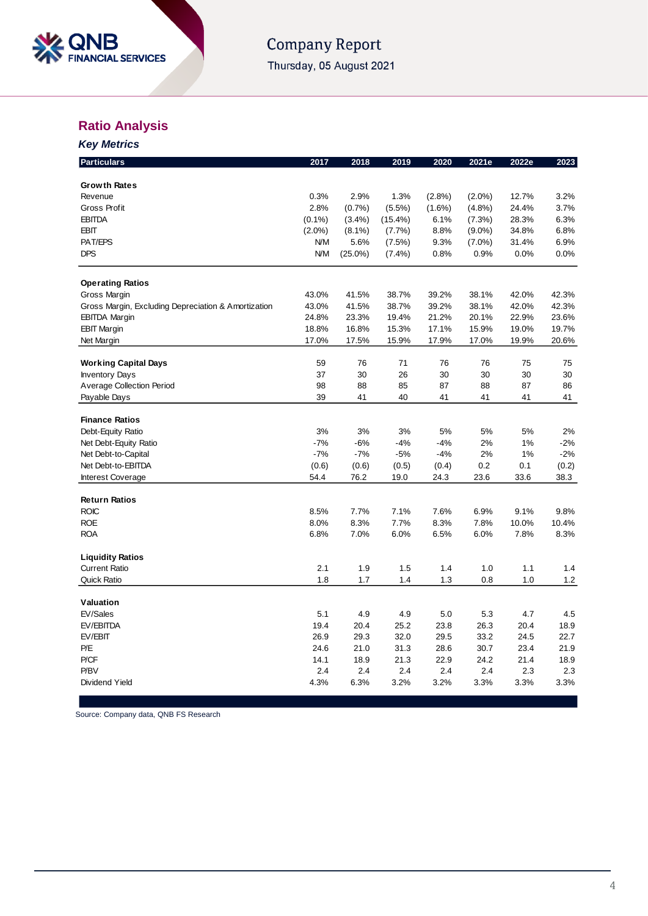

# Company Report Thursday, 05 August 2021

# **Ratio Analysis**

| <b>Key Metrics</b>                                  |           |            |            |           |           |       |       |
|-----------------------------------------------------|-----------|------------|------------|-----------|-----------|-------|-------|
| <b>Particulars</b>                                  | 2017      | 2018       | 2019       | 2020      | 2021e     | 2022e | 2023  |
| <b>Growth Rates</b>                                 |           |            |            |           |           |       |       |
| Revenue                                             | 0.3%      | 2.9%       | 1.3%       | $(2.8\%)$ | $(2.0\%)$ | 12.7% | 3.2%  |
| Gross Profit                                        | 2.8%      | (0.7%      | $(5.5\%)$  | $(1.6\%)$ | (4.8%)    | 24.4% | 3.7%  |
| <b>EBITDA</b>                                       | $(0.1\%)$ | $(3.4\%)$  | $(15.4\%)$ | 6.1%      | (7.3%)    | 28.3% | 6.3%  |
| <b>EBIT</b>                                         | $(2.0\%)$ | $(8.1\%)$  | $(7.7\%)$  | 8.8%      | $(9.0\%)$ | 34.8% | 6.8%  |
| PAT/EPS                                             | N/M       | 5.6%       | (7.5%)     | 9.3%      | $(7.0\%)$ | 31.4% | 6.9%  |
| DPS                                                 | N/M       | $(25.0\%)$ | $(7.4\%)$  | 0.8%      | 0.9%      | 0.0%  | 0.0%  |
| <b>Operating Ratios</b>                             |           |            |            |           |           |       |       |
| Gross Margin                                        | 43.0%     | 41.5%      | 38.7%      | 39.2%     | 38.1%     | 42.0% | 42.3% |
| Gross Margin, Excluding Depreciation & Amortization | 43.0%     | 41.5%      | 38.7%      | 39.2%     | 38.1%     | 42.0% | 42.3% |
| <b>EBITDA Margin</b>                                | 24.8%     | 23.3%      | 19.4%      | 21.2%     | 20.1%     | 22.9% | 23.6% |
| <b>EBIT Margin</b>                                  | 18.8%     | 16.8%      | 15.3%      | 17.1%     | 15.9%     | 19.0% | 19.7% |
| Net Margin                                          | 17.0%     | 17.5%      | 15.9%      | 17.9%     | 17.0%     | 19.9% | 20.6% |
|                                                     |           |            |            |           |           |       |       |
| <b>Working Capital Days</b>                         | 59        | 76         | 71         | 76        | 76        | 75    | 75    |
| <b>Inventory Days</b>                               | 37        | 30         | 26         | 30        | 30        | 30    | 30    |
| Average Collection Period                           | 98        | 88         | 85         | 87        | 88        | 87    | 86    |
| Payable Days                                        | 39        | 41         | 40         | 41        | 41        | 41    | 41    |
| <b>Finance Ratios</b>                               |           |            |            |           |           |       |       |
| Debt-Equity Ratio                                   | 3%        | 3%         | 3%         | 5%        | 5%        | 5%    | 2%    |
| Net Debt-Equity Ratio                               | $-7%$     | $-6%$      | -4%        | $-4%$     | 2%        | 1%    | $-2%$ |
| Net Debt-to-Capital                                 | $-7%$     | $-7%$      | $-5%$      | $-4%$     | 2%        | 1%    | $-2%$ |
| Net Debt-to-EBITDA                                  | (0.6)     | (0.6)      | (0.5)      | (0.4)     | 0.2       | 0.1   | (0.2) |
| <b>Interest Coverage</b>                            | 54.4      | 76.2       | 19.0       | 24.3      | 23.6      | 33.6  | 38.3  |
| <b>Return Ratios</b>                                |           |            |            |           |           |       |       |
| <b>ROIC</b>                                         | 8.5%      | 7.7%       | 7.1%       | 7.6%      | 6.9%      | 9.1%  | 9.8%  |
| <b>ROE</b>                                          | 8.0%      | 8.3%       | 7.7%       | 8.3%      | 7.8%      | 10.0% | 10.4% |
| <b>ROA</b>                                          | 6.8%      | 7.0%       | 6.0%       | 6.5%      | 6.0%      | 7.8%  | 8.3%  |
| <b>Liquidity Ratios</b>                             |           |            |            |           |           |       |       |
| <b>Current Ratio</b>                                | 2.1       | 1.9        | 1.5        | 1.4       | 1.0       | 1.1   | 1.4   |
| <b>Quick Ratio</b>                                  | 1.8       | 1.7        | 1.4        | 1.3       | 0.8       | 1.0   | 1.2   |
|                                                     |           |            |            |           |           |       |       |
| Valuation                                           |           |            |            |           |           |       |       |
| EV/Sales                                            | 5.1       | 4.9        | 4.9        | 5.0       | 5.3       | 4.7   | 4.5   |
| EV/EBITDA                                           | 19.4      | 20.4       | 25.2       | 23.8      | 26.3      | 20.4  | 18.9  |
| EV/EBIT                                             | 26.9      | 29.3       | 32.0       | 29.5      | 33.2      | 24.5  | 22.7  |
| P/E                                                 | 24.6      | 21.0       | 31.3       | 28.6      | 30.7      | 23.4  | 21.9  |
| P/CF                                                | 14.1      | 18.9       | 21.3       | 22.9      | 24.2      | 21.4  | 18.9  |
| P/BV                                                | 2.4       | 2.4        | 2.4        | 2.4       | 2.4       | 2.3   | 2.3   |
| Dividend Yield                                      | 4.3%      | 6.3%       | 3.2%       | 3.2%      | 3.3%      | 3.3%  | 3.3%  |

Source: Company data, QNB FS Research